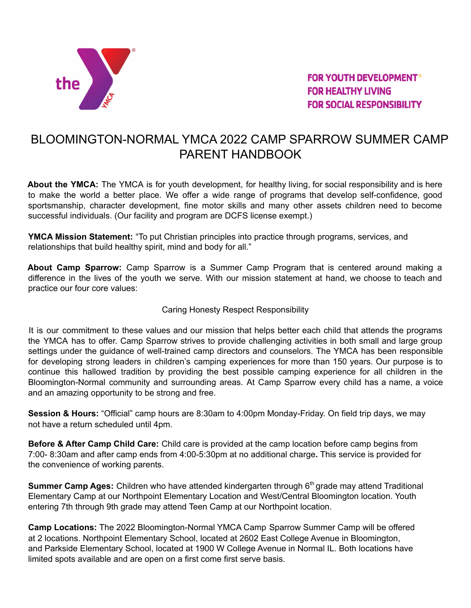

**FOR YOUTH DEVELOPMENT® FOR HEALTHY LIVING FOR SOCIAL RESPONSIBILITY** 

# BLOOMINGTON-NORMAL YMCA 2022 CAMP SPARROW SUMMER CAMP PARENT HANDBOOK

**About the YMCA:** The YMCA is for youth development, for healthy living, for social responsibility and is here to make the world a better place. We offer a wide range of programs that develop self-confidence, good sportsmanship, character development, fine motor skills and many other assets children need to become successful individuals. (Our facility and program are DCFS license exempt.)

**YMCA Mission Statement:** "To put Christian principles into practice through programs, services, and relationships that build healthy spirit, mind and body for all."

**About Camp Sparrow:** Camp Sparrow is a Summer Camp Program that is centered around making a difference in the lives of the youth we serve. With our mission statement at hand, we choose to teach and practice our four core values:

# Caring Honesty Respect Responsibility

It is our commitment to these values and our mission that helps better each child that attends the programs the YMCA has to offer. Camp Sparrow strives to provide challenging activities in both small and large group settings under the guidance of well-trained camp directors and counselors. The YMCA has been responsible for developing strong leaders in children's camping experiences for more than 150 years. Our purpose is to continue this hallowed tradition by providing the best possible camping experience for all children in the Bloomington-Normal community and surrounding areas. At Camp Sparrow every child has a name, a voice and an amazing opportunity to be strong and free.

**Session & Hours:** "Official" camp hours are 8:30am to 4:00pm Monday-Friday. On field trip days, we may not have a return scheduled until 4pm.

**Before & After Camp Child Care:** Child care is provided at the camp location before camp begins from 7:00- 8:30am and after camp ends from 4:00-5:30pm at no additional charge**.** This service is provided for the convenience of working parents.

**Summer Camp Ages:** Children who have attended kindergarten through 6 th grade may attend Traditional Elementary Camp at our Northpoint Elementary Location and West/Central Bloomington location. Youth entering 7th through 9th grade may attend Teen Camp at our Northpoint location.

**Camp Locations:** The 2022 Bloomington-Normal YMCA Camp Sparrow Summer Camp will be offered at 2 locations. Northpoint Elementary School, located at 2602 East College Avenue in Bloomington, and Parkside Elementary School, located at 1900 W College Avenue in Normal IL. Both locations have limited spots available and are open on a first come first serve basis.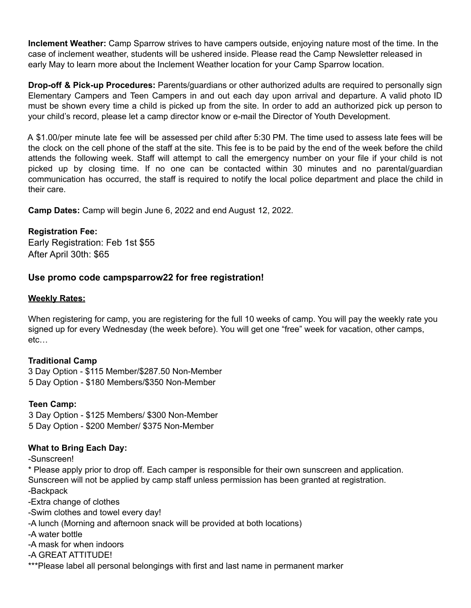**Inclement Weather:** Camp Sparrow strives to have campers outside, enjoying nature most of the time. In the case of inclement weather, students will be ushered inside. Please read the Camp Newsletter released in early May to learn more about the Inclement Weather location for your Camp Sparrow location.

**Drop-off & Pick-up Procedures:** Parents/guardians or other authorized adults are required to personally sign Elementary Campers and Teen Campers in and out each day upon arrival and departure. A valid photo ID must be shown every time a child is picked up from the site. In order to add an authorized pick up person to your child's record, please let a camp director know or e-mail the Director of Youth Development.

A \$1.00/per minute late fee will be assessed per child after 5:30 PM. The time used to assess late fees will be the clock on the cell phone of the staff at the site. This fee is to be paid by the end of the week before the child attends the following week. Staff will attempt to call the emergency number on your file if your child is not picked up by closing time. If no one can be contacted within 30 minutes and no parental/guardian communication has occurred, the staff is required to notify the local police department and place the child in their care.

**Camp Dates:** Camp will begin June 6, 2022 and end August 12, 2022.

#### **Registration Fee:**

Early Registration: Feb 1st \$55 After April 30th: \$65

# **Use promo code campsparrow22 for free registration!**

#### **Weekly Rates:**

When registering for camp, you are registering for the full 10 weeks of camp. You will pay the weekly rate you signed up for every Wednesday (the week before). You will get one "free" week for vacation, other camps, etc…

# **Traditional Camp**

3 Day Option - \$115 Member/\$287.50 Non-Member 5 Day Option - \$180 Members/\$350 Non-Member

# **Teen Camp:**

3 Day Option - \$125 Members/ \$300 Non-Member 5 Day Option - \$200 Member/ \$375 Non-Member

# **What to Bring Each Day:**

-Sunscreen!

\* Please apply prior to drop off. Each camper is responsible for their own sunscreen and application. Sunscreen will not be applied by camp staff unless permission has been granted at registration. -Backpack

-Extra change of clothes

-Swim clothes and towel every day!

-A lunch (Morning and afternoon snack will be provided at both locations)

-A water bottle

-A mask for when indoors

-A GREAT ATTITUDE!

\*\*\*Please label all personal belongings with first and last name in permanent marker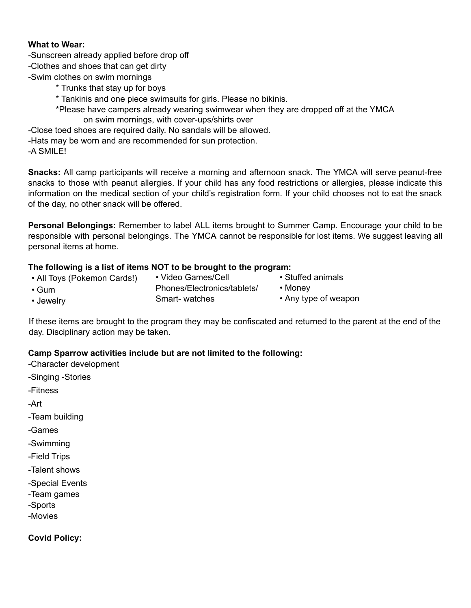#### **What to Wear:**

- -Sunscreen already applied before drop off
- -Clothes and shoes that can get dirty
- -Swim clothes on swim mornings
	- \* Trunks that stay up for boys
	- \* Tankinis and one piece swimsuits for girls. Please no bikinis.
	- \*Please have campers already wearing swimwear when they are dropped off at the YMCA on swim mornings, with cover-ups/shirts over

-Close toed shoes are required daily. No sandals will be allowed.

- -Hats may be worn and are recommended for sun protection.
- -A SMILE!

**Snacks:** All camp participants will receive a morning and afternoon snack. The YMCA will serve peanut-free snacks to those with peanut allergies. If your child has any food restrictions or allergies, please indicate this information on the medical section of your child's registration form. If your child chooses not to eat the snack of the day, no other snack will be offered.

**Personal Belongings:** Remember to label ALL items brought to Summer Camp. Encourage your child to be responsible with personal belongings. The YMCA cannot be responsible for lost items. We suggest leaving all personal items at home.

# **The following is a list of items NOT to be brought to the program:**

• All Toys (Pokemon Cards!) • Gum • Jewelry • Video Games/Cell Phones/Electronics/tablets/ Smart- watches • Stuffed animals • Money • Any type of weapon

If these items are brought to the program they may be confiscated and returned to the parent at the end of the day. Disciplinary action may be taken.

# **Camp Sparrow activities include but are not limited to the following:**

-Character development

- -Singing -Stories
- -Fitness

-Art

- -Team building
- -Games
- -Swimming
- -Field Trips
- -Talent shows
- -Special Events
- -Team games
- -Sports
- -Movies

**Covid Policy:**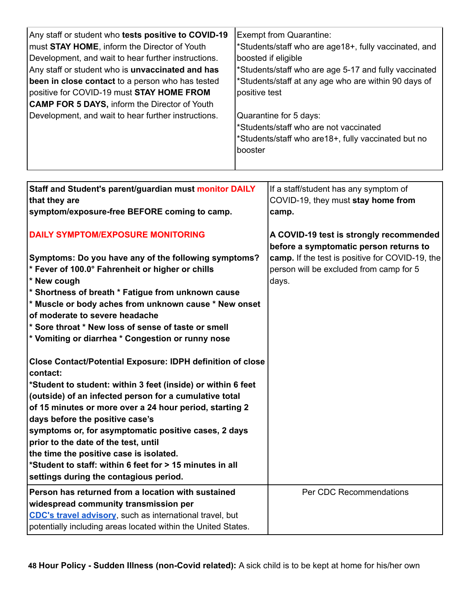| Any staff or student who tests positive to COVID-19     | <b>Exempt from Quarantine:</b>                        |
|---------------------------------------------------------|-------------------------------------------------------|
| must STAY HOME, inform the Director of Youth            | *Students/staff who are age18+, fully vaccinated, and |
| Development, and wait to hear further instructions.     | boosted if eligible                                   |
| Any staff or student who is <b>unvaccinated and has</b> | *Students/staff who are age 5-17 and fully vaccinated |
| been in close contact to a person who has tested        | *Students/staff at any age who are within 90 days of  |
| positive for COVID-19 must <b>STAY HOME FROM</b>        | positive test                                         |
| <b>CAMP FOR 5 DAYS, inform the Director of Youth</b>    |                                                       |
| Development, and wait to hear further instructions.     | Quarantine for 5 days:                                |
|                                                         | *Students/staff who are not vaccinated                |
|                                                         | *Students/staff who are 18+, fully vaccinated but no  |
|                                                         | booster                                               |

| Staff and Student's parent/guardian must monitor DAILY            | If a staff/student has any symptom of           |
|-------------------------------------------------------------------|-------------------------------------------------|
| that they are                                                     | COVID-19, they must stay home from              |
| symptom/exposure-free BEFORE coming to camp.                      | camp.                                           |
| <b>DAILY SYMPTOM/EXPOSURE MONITORING</b>                          | A COVID-19 test is strongly recommended         |
|                                                                   | before a symptomatic person returns to          |
| Symptoms: Do you have any of the following symptoms?              | camp. If the test is positive for COVID-19, the |
| * Fever of 100.0° Fahrenheit or higher or chills                  | person will be excluded from camp for 5         |
| * New cough                                                       | days.                                           |
| * Shortness of breath * Fatigue from unknown cause                |                                                 |
| * Muscle or body aches from unknown cause * New onset             |                                                 |
| of moderate to severe headache                                    |                                                 |
| * Sore throat * New loss of sense of taste or smell               |                                                 |
| * Vomiting or diarrhea * Congestion or runny nose                 |                                                 |
|                                                                   |                                                 |
| <b>Close Contact/Potential Exposure: IDPH definition of close</b> |                                                 |
| contact:                                                          |                                                 |
| *Student to student: within 3 feet (inside) or within 6 feet      |                                                 |
| (outside) of an infected person for a cumulative total            |                                                 |
| of 15 minutes or more over a 24 hour period, starting 2           |                                                 |
| days before the positive case's                                   |                                                 |
| symptoms or, for asymptomatic positive cases, 2 days              |                                                 |
| prior to the date of the test, until                              |                                                 |
| the time the positive case is isolated.                           |                                                 |
| *Student to staff: within 6 feet for > 15 minutes in all          |                                                 |
| settings during the contagious period.                            |                                                 |
| Person has returned from a location with sustained                | Per CDC Recommendations                         |
| widespread community transmission per                             |                                                 |
| CDC's travel advisory, such as international travel, but          |                                                 |
| potentially including areas located within the United States.     |                                                 |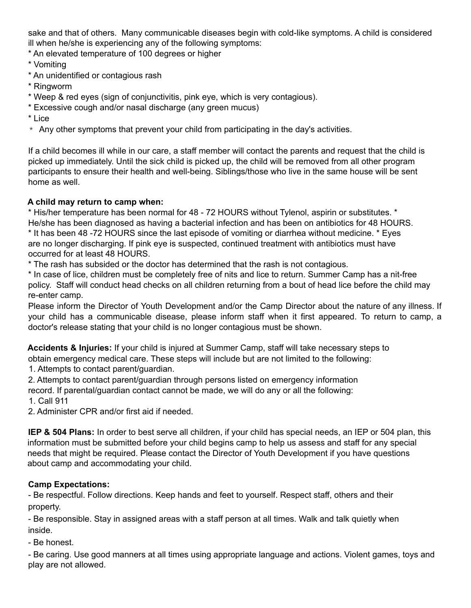sake and that of others. Many communicable diseases begin with cold-like symptoms. A child is considered ill when he/she is experiencing any of the following symptoms:

- \* An elevated temperature of 100 degrees or higher
- \* Vomiting
- \* An unidentified or contagious rash
- \* Ringworm
- \* Weep & red eyes (sign of conjunctivitis, pink eye, which is very contagious).
- \* Excessive cough and/or nasal discharge (any green mucus)
- \* Lice
- $*$  Any other symptoms that prevent your child from participating in the day's activities.

If a child becomes ill while in our care, a staff member will contact the parents and request that the child is picked up immediately. Until the sick child is picked up, the child will be removed from all other program participants to ensure their health and well-being. Siblings/those who live in the same house will be sent home as well.

# **A child may return to camp when:**

\* His/her temperature has been normal for 48 - 72 HOURS without Tylenol, aspirin or substitutes. \* He/she has been diagnosed as having a bacterial infection and has been on antibiotics for 48 HOURS. \* It has been 48 -72 HOURS since the last episode of vomiting or diarrhea without medicine. \* Eyes are no longer discharging. If pink eye is suspected, continued treatment with antibiotics must have occurred for at least 48 HOURS.

\* The rash has subsided or the doctor has determined that the rash is not contagious.

\* In case of lice, children must be completely free of nits and lice to return. Summer Camp has a nit-free policy. Staff will conduct head checks on all children returning from a bout of head lice before the child may re-enter camp.

Please inform the Director of Youth Development and/or the Camp Director about the nature of any illness. If your child has a communicable disease, please inform staff when it first appeared. To return to camp, a doctor's release stating that your child is no longer contagious must be shown.

**Accidents & Injuries:** If your child is injured at Summer Camp, staff will take necessary steps to obtain emergency medical care. These steps will include but are not limited to the following:

1. Attempts to contact parent/guardian.

2. Attempts to contact parent/guardian through persons listed on emergency information

record. If parental/guardian contact cannot be made, we will do any or all the following:

1. Call 911

2. Administer CPR and/or first aid if needed.

**IEP & 504 Plans:** In order to best serve all children, if your child has special needs, an IEP or 504 plan, this information must be submitted before your child begins camp to help us assess and staff for any special needs that might be required. Please contact the Director of Youth Development if you have questions about camp and accommodating your child.

# **Camp Expectations:**

- Be respectful. Follow directions. Keep hands and feet to yourself. Respect staff, others and their property.

- Be responsible. Stay in assigned areas with a staff person at all times. Walk and talk quietly when inside.

- Be honest.

- Be caring. Use good manners at all times using appropriate language and actions. Violent games, toys and play are not allowed.